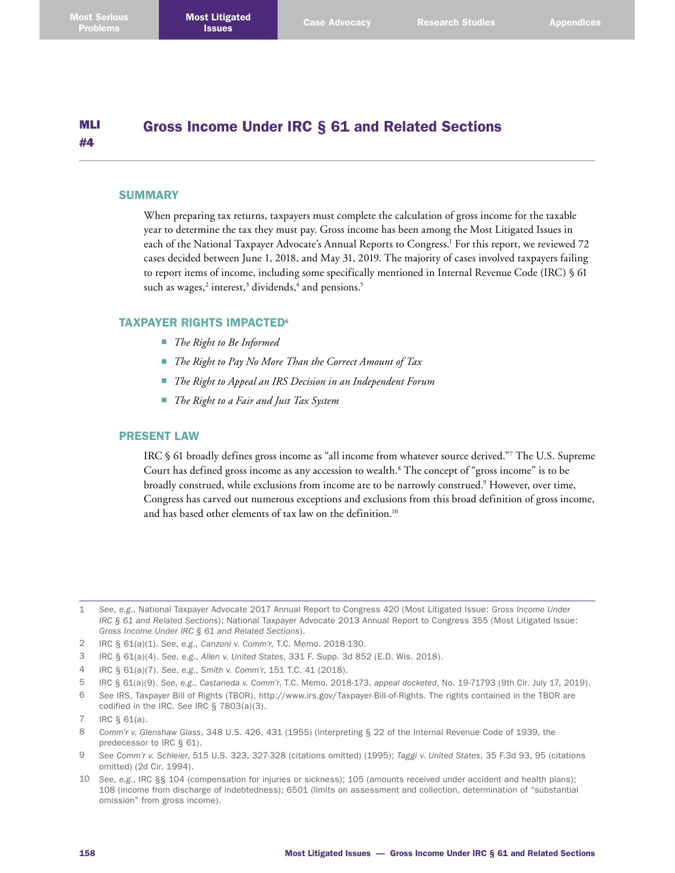#### MLI #4 Gross Income Under IRC § 61 and Related Sections

### **SUMMARY**

When preparing tax returns, taxpayers must complete the calculation of gross income for the taxable year to determine the tax they must pay. Gross income has been among the Most Litigated Issues in each of the National Taxpayer Advocate's Annual Reports to Congress. 1 For this report, we reviewed 72 cases decided between June 1, 2018, and May 31, 2019. The majority of cases involved taxpayers failing to report items of income, including some specifically mentioned in Internal Revenue Code (IRC) § 61 such as wages, $^2$  interest, $^3$  dividends, $^4$  and pensions. $^5$ 

## TAXPAYER RIGHTS IMPACTED<sup>6</sup>

- *The Right to Be Informed*
- *The Right to Pay No More Than the Correct Amount of Tax*
- *The Right to Appeal an IRS Decision in an Independent Forum*
- *The Right to a Fair and Just Tax System*

### PRESENT LAW

IRC § 61 broadly defines gross income as "all income from whatever source derived."7 The U.S. Supreme Court has defined gross income as any accession to wealth. 8 The concept of "gross income" is to be broadly construed, while exclusions from income are to be narrowly construed.<sup>9</sup> However, over time, Congress has carved out numerous exceptions and exclusions from this broad definition of gross income, and has based other elements of tax law on the definition. 10

- 3 IRC § 61(a)(4). *See*, *e.g*., *Allen v. United States*, 331 F. Supp. 3d 852 (E.D. Wis. 2018).
- 4 IRC § 61(a)(7). *See*, *e.g*., *Smith v. Comm'r*, 151 T.C. 41 (2018).
- 5 IRC § 61(a)(9). *See*, *e.g*., *Castaneda v. Comm'r*, T.C. Memo. 2018-173, *appeal docketed*, No. 19-71793 (9th Cir. July 17, 2019).
- 6 *See* IRS, Taxpayer Bill of Rights (TBOR), <http://www.irs.gov/Taxpayer-Bill-of-Rights>. The rights contained in the TBOR are codified in the IRC. *See* IRC § 7803(a)(3).

- 9 *See Comm'r v. Schleier*, 515 U.S. 323, 327-328 (citations omitted) (1995); *Taggi v. United States*, 35 F.3d 93, 95 (citations omitted) (2d Cir. 1994).
- 10 *See*, *e.g*., IRC §§ 104 (compensation for injuries or sickness); 105 (amounts received under accident and health plans); 108 (income from discharge of indebtedness); 6501 (limits on assessment and collection, determination of "substantial omission" from gross income).

<sup>1</sup> *See*, *e.g*., National Taxpayer Advocate 2017 Annual Report to Congress 420 (Most Litigated Issue: *Gross Income Under IRC § 61 and Related Sections*); National Taxpayer Advocate 2013 Annual Report to Congress 355 (Most Litigated Issue: *Gross Income Under IRC § 61 and Related Sections*).

<sup>2</sup> IRC § 61(a)(1). *See*, *e.g*., *Canzoni v. Comm'r*, T.C. Memo. 2018-130.

<sup>7</sup> IRC § 61(a).

<sup>8</sup> *Comm'r v. Glenshaw Glass*, 348 U.S. 426, 431 (1955) (interpreting § 22 of the Internal Revenue Code of 1939, the predecessor to IRC § 61).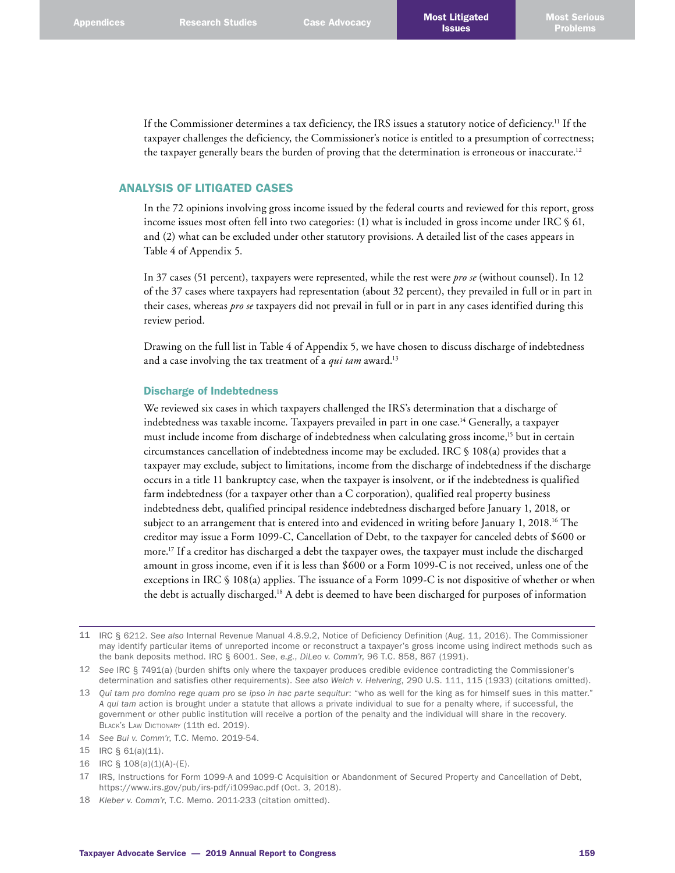If the Commissioner determines a tax deficiency, the IRS issues a statutory notice of deficiency. 11 If the taxpayer challenges the deficiency, the Commissioner's notice is entitled to a presumption of correctness; the taxpayer generally bears the burden of proving that the determination is erroneous or inaccurate.<sup>12</sup>

# ANALYSIS OF LITIGATED CASES

In the 72 opinions involving gross income issued by the federal courts and reviewed for this report, gross income issues most often fell into two categories: (1) what is included in gross income under IRC § 61, and (2) what can be excluded under other statutory provisions. A detailed list of the cases appears in Table 4 of Appendix 5.

In 37 cases (51 percent), taxpayers were represented, while the rest were *pro se* (without counsel). In 12 of the 37 cases where taxpayers had representation (about 32 percent), they prevailed in full or in part in their cases, whereas *pro se* taxpayers did not prevail in full or in part in any cases identified during this review period.

Drawing on the full list in Table 4 of Appendix 5, we have chosen to discuss discharge of indebtedness and a case involving the tax treatment of a *qui tam* award. 13

### Discharge of Indebtedness

We reviewed six cases in which taxpayers challenged the IRS's determination that a discharge of indebtedness was taxable income. Taxpayers prevailed in part in one case. 14 Generally, a taxpayer must include income from discharge of indebtedness when calculating gross income,<sup>15</sup> but in certain circumstances cancellation of indebtedness income may be excluded. IRC § 108(a) provides that a taxpayer may exclude, subject to limitations, income from the discharge of indebtedness if the discharge occurs in a title 11 bankruptcy case, when the taxpayer is insolvent, or if the indebtedness is qualified farm indebtedness (for a taxpayer other than a C corporation), qualified real property business indebtedness debt, qualified principal residence indebtedness discharged before January 1, 2018, or subject to an arrangement that is entered into and evidenced in writing before January 1, 2018. 16 The creditor may issue a Form 1099-C, Cancellation of Debt, to the taxpayer for canceled debts of \$600 or more. 17 If a creditor has discharged a debt the taxpayer owes, the taxpayer must include the discharged amount in gross income, even if it is less than \$600 or a Form 1099-C is not received, unless one of the exceptions in IRC § 108(a) applies. The issuance of a Form 1099-C is not dispositive of whether or when the debt is actually discharged. 18 A debt is deemed to have been discharged for purposes of information

12 *See* IRC § 7491(a) (burden shifts only where the taxpayer produces credible evidence contradicting the Commissioner's determination and satisfies other requirements). *See also Welch v. Helvering*, 290 U.S. 111, 115 (1933) (citations omitted).

<sup>11</sup> IRC § 6212. *See also* Internal Revenue Manual 4.8.9.2, Notice of Deficiency Definition (Aug. 11, 2016). The Commissioner may identify particular items of unreported income or reconstruct a taxpayer's gross income using indirect methods such as the bank deposits method. IRC § 6001. *See*, *e.g*., *DiLeo v. Comm'r*, 96 T.C. 858, 867 (1991).

<sup>13</sup> *Qui tam pro domino rege quam pro se ipso in hac parte sequitur*: "who as well for the king as for himself sues in this matter." *A qui tam* action is brought under a statute that allows a private individual to sue for a penalty where, if successful, the government or other public institution will receive a portion of the penalty and the individual will share in the recovery. BLACK'S LAW DICTIONARY (11th ed. 2019).

<sup>14</sup> *See Bui v. Comm'r*, T.C. Memo. 2019-54.

<sup>15</sup> IRC § 61(a)(11).

<sup>16</sup> IRC § 108(a)(1)(A)-(E).

<sup>17</sup> IRS, Instructions for Form 1099-A and 1099-C Acquisition or Abandonment of Secured Property and Cancellation of Debt, <https://www.irs.gov/pub/irs-pdf/i1099ac.pdf>(Oct. 3, 2018).

<sup>18</sup> *Kleber v. Comm'r*, T.C. Memo. 2011-233 (citation omitted).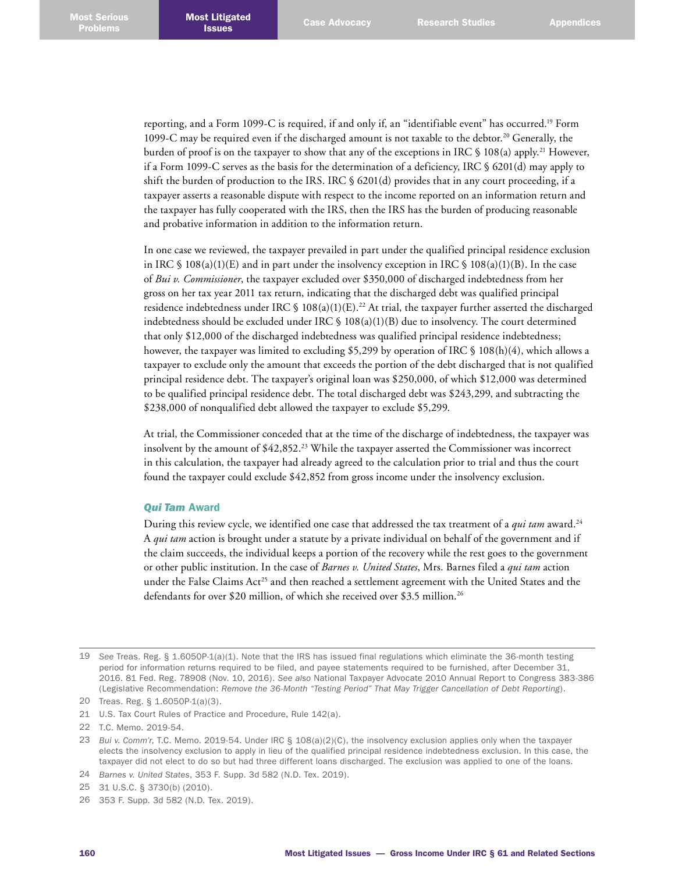reporting, and a Form 1099-C is required, if and only if, an "identifiable event" has occurred. 19 Form 1099-C may be required even if the discharged amount is not taxable to the debtor. 20 Generally, the burden of proof is on the taxpayer to show that any of the exceptions in IRC § 108(a) apply. 21 However, if a Form 1099-C serves as the basis for the determination of a deficiency, IRC § 6201(d) may apply to shift the burden of production to the IRS. IRC § 6201(d) provides that in any court proceeding, if a taxpayer asserts a reasonable dispute with respect to the income reported on an information return and the taxpayer has fully cooperated with the IRS, then the IRS has the burden of producing reasonable and probative information in addition to the information return.

In one case we reviewed, the taxpayer prevailed in part under the qualified principal residence exclusion in IRC  $\S$  108(a)(1)(E) and in part under the insolvency exception in IRC  $\S$  108(a)(1)(B). In the case of *Bui v. Commissioner*, the taxpayer excluded over \$350,000 of discharged indebtedness from her gross on her tax year 2011 tax return, indicating that the discharged debt was qualified principal residence indebtedness under IRC  $\frac{\sqrt{5}}{2}$  108(a)(1)(E).<sup>22</sup> At trial, the taxpayer further asserted the discharged indebtedness should be excluded under IRC  $\S$  108(a)(1)(B) due to insolvency. The court determined that only \$12,000 of the discharged indebtedness was qualified principal residence indebtedness; however, the taxpayer was limited to excluding \$5,299 by operation of IRC § 108(h)(4), which allows a taxpayer to exclude only the amount that exceeds the portion of the debt discharged that is not qualified principal residence debt. The taxpayer's original loan was \$250,000, of which \$12,000 was determined to be qualified principal residence debt. The total discharged debt was \$243,299, and subtracting the \$238,000 of nonqualified debt allowed the taxpayer to exclude \$5,299.

At trial, the Commissioner conceded that at the time of the discharge of indebtedness, the taxpayer was insolvent by the amount of \$42,852. 23 While the taxpayer asserted the Commissioner was incorrect in this calculation, the taxpayer had already agreed to the calculation prior to trial and thus the court found the taxpayer could exclude \$42,852 from gross income under the insolvency exclusion.

### *Qui Tam* Award

During this review cycle, we identified one case that addressed the tax treatment of a *qui tam* award. 24 A *qui tam* action is brought under a statute by a private individual on behalf of the government and if the claim succeeds, the individual keeps a portion of the recovery while the rest goes to the government or other public institution. In the case of *Barnes v. United States*, Mrs. Barnes filed a *qui tam* action under the False Claims Act<sup>25</sup> and then reached a settlement agreement with the United States and the defendants for over \$20 million, of which she received over \$3.5 million. 26

<sup>19</sup> *See* Treas. Reg. § 1.6050P-1(a)(1). Note that the IRS has issued final regulations which eliminate the 36-month testing period for information returns required to be filed, and payee statements required to be furnished, after December 31, 2016. 81 Fed. Reg. 78908 (Nov. 10, 2016). *See also* National Taxpayer Advocate 2010 Annual Report to Congress 383-386 (Legislative Recommendation: *Remove the 36-Month "Testing Period" That May Trigger Cancellation of Debt Reporting*).

<sup>20</sup> Treas. Reg. § 1.6050P-1(a)(3).

<sup>21</sup> U.S. Tax Court Rules of Practice and Procedure, Rule 142(a).

<sup>22</sup> T.C. Memo. 2019-54.

<sup>23</sup> *Bui v. Comm'r*, T.C. Memo. 2019-54. Under IRC § 108(a)(2)(C), the insolvency exclusion applies only when the taxpayer elects the insolvency exclusion to apply in lieu of the qualified principal residence indebtedness exclusion. In this case, the taxpayer did not elect to do so but had three different loans discharged. The exclusion was applied to one of the loans.

<sup>24</sup> *Barnes v. United States*, 353 F. Supp. 3d 582 (N.D. Tex. 2019).

<sup>25</sup> 31 U.S.C. § 3730(b) (2010).

<sup>26</sup> 353 F. Supp. 3d 582 (N.D. Tex. 2019).